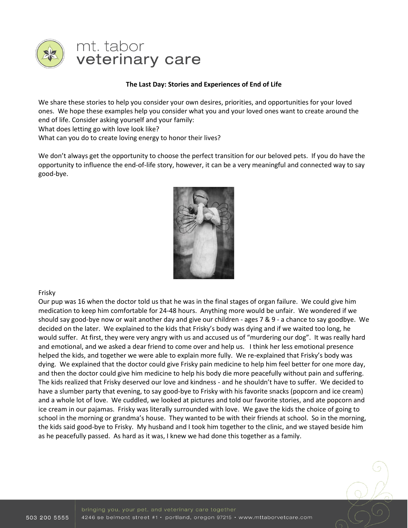

# mt. tabor veterinary care

## **The Last Day: Stories and Experiences of End of Life**

We share these stories to help you consider your own desires, priorities, and opportunities for your loved ones. We hope these examples help you consider what you and your loved ones want to create around the end of life. Consider asking yourself and your family:

What does letting go with love look like?

What can you do to create loving energy to honor their lives?

We don't always get the opportunity to choose the perfect transition for our beloved pets. If you do have the opportunity to influence the end-of-life story, however, it can be a very meaningful and connected way to say good-bye.



## Frisky

Our pup was 16 when the doctor told us that he was in the final stages of organ failure. We could give him medication to keep him comfortable for 24-48 hours. Anything more would be unfair. We wondered if we should say good-bye now or wait another day and give our children - ages 7 & 9 - a chance to say goodbye. We decided on the later. We explained to the kids that Frisky's body was dying and if we waited too long, he would suffer. At first, they were very angry with us and accused us of "murdering our dog". It was really hard and emotional, and we asked a dear friend to come over and help us. I think her less emotional presence helped the kids, and together we were able to explain more fully. We re-explained that Frisky's body was dying. We explained that the doctor could give Frisky pain medicine to help him feel better for one more day, and then the doctor could give him medicine to help his body die more peacefully without pain and suffering. The kids realized that Frisky deserved our love and kindness - and he shouldn't have to suffer. We decided to have a slumber party that evening, to say good-bye to Frisky with his favorite snacks (popcorn and ice cream) and a whole lot of love. We cuddled, we looked at pictures and told our favorite stories, and ate popcorn and ice cream in our pajamas. Frisky was literally surrounded with love. We gave the kids the choice of going to school in the morning or grandma's house. They wanted to be with their friends at school. So in the morning, the kids said good-bye to Frisky. My husband and I took him together to the clinic, and we stayed beside him as he peacefully passed. As hard as it was, I knew we had done this together as a family.